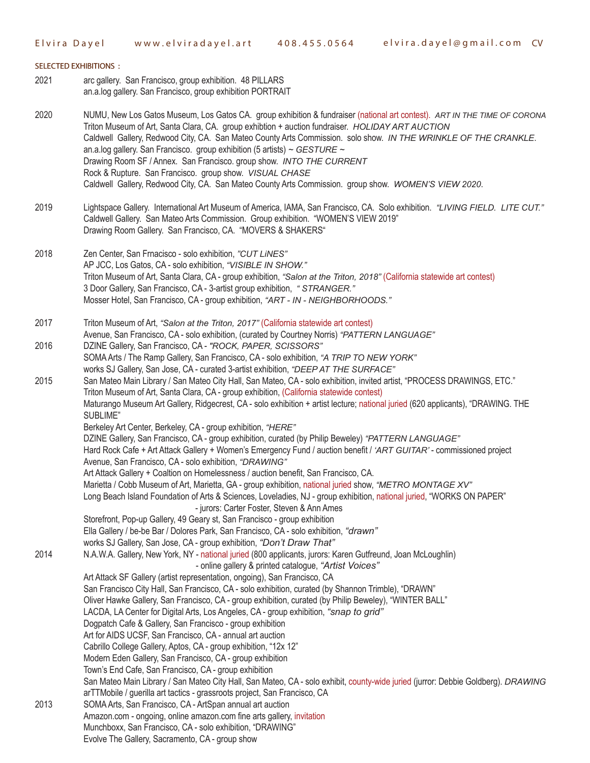## **SELECTED EXHIBITIONS :** arc gallery. San Francisco, group exhibition. 48 PILLARS an.a.log gallery. San Francisco, group exhibition PORTRAIT NUMU, New Los Gatos Museum, Los Gatos CA. group exhibition & fundraiser (national art contest). *ART IN THE TIME OF CORONA* Triton Museum of Art, Santa Clara, CA. group exhibtion + auction fundraiser. *HOLIDAY ART AUCTION* Caldwell Gallery, Redwood City, CA. San Mateo County Arts Commission. solo show. *IN THE WRINKLE OF THE CRANKLE*. an.a.log gallery. San Francisco. group exhibition (5 artists) *~ GESTURE ~* Drawing Room SF / Annex. San Francisco. group show. *INTO THE CURRENT* Rock & Rupture. San Francisco. group show. *VISUAL CHASE* Caldwell Gallery, Redwood City, CA. San Mateo County Arts Commission. group show. *WOMEN'S VIEW 2020*. Lightspace Gallery. International Art Museum of America, IAMA, San Francisco, CA. Solo exhibition. *"LIVING FIELD. LITE CUT."*  Caldwell Gallery. San Mateo Arts Commission. Group exhibition. "WOMEN'S VIEW 2019" Drawing Room Gallery. San Francisco, CA. "MOVERS & SHAKERS" Zen Center, San Frnacisco - solo exhibition, *"CUT LiNES"*  AP JCC, Los Gatos, CA - solo exhibition, *"VISIBLE IN SHOW."* Triton Museum of Art, Santa Clara, CA - group exhibition, *"Salon at the Triton, 2018"* (California statewide art contest) 3 Door Gallery, San Francisco, CA - 3-artist group exhibition, *" STRANGER."* 2021 2020 2019 2018

Triton Museum of Art, *"Salon at the Triton, 2017"* (California statewide art contest) Avenue, San Francisco, CA - solo exhibition, (curated by Courtney Norris) *"PATTERN LANGUAGE"* DZINE Gallery, San Francisco, CA - *"ROCK, PAPER, SCISSORS"* SOMA Arts / The Ramp Gallery, San Francisco, CA - solo exhibition, *"A TRIP TO NEW YORK"* works SJ Gallery, San Jose, CA - curated 3-artist exhibition, *"DEEP AT THE SURFACE"* San Mateo Main Library / San Mateo City Hall, San Mateo, CA - solo exhibition, invited artist, "PROCESS DRAWINGS, ETC." Triton Museum of Art, Santa Clara, CA - group exhibition, (California statewide contest) Maturango Museum Art Gallery, Ridgecrest, CA - solo exhibition + artist lecture; national juried (620 applicants), "DRAWING. THE SUBLIME" Berkeley Art Center, Berkeley, CA - group exhibition, *"HERE"* DZINE Gallery, San Francisco, CA - group exhibition, curated (by Philip Beweley) *"PATTERN LANGUAGE"* Hard Rock Cafe + Art Attack Gallery + Women's Emergency Fund / auction benefit / *'ART GUITAR'* - commissioned project Avenue, San Francisco, CA - solo exhibition, *"DRAWING"* Art Attack Gallery + Coaltion on Homelessness / auction benefit, San Francisco, CA. Marietta / Cobb Museum of Art, Marietta, GA - group exhibition, national juried show, *"METRO MONTAGE XV"* Long Beach Island Foundation of Arts & Sciences, Loveladies, NJ - group exhibition, national juried, "WORKS ON PAPER" - jurors: Carter Foster, Steven & Ann Ames Storefront, Pop-up Gallery, 49 Geary st, San Francisco - group exhibition Ella Gallery / be-be Bar / Dolores Park, San Francisco, CA - solo exhibition, *"drawn"* works SJ Gallery, San Jose, CA - group exhibition, *"Don't Draw That"* N.A.W.A. Gallery, New York, NY - national juried (800 applicants, jurors: Karen Gutfreund, Joan McLoughlin) - online gallery & printed catalogue, *"Artist Voices"* Art Attack SF Gallery (artist representation, ongoing), San Francisco, CA San Francisco City Hall, San Francisco, CA - solo exhibition, curated (by Shannon Trimble), "DRAWN" Oliver Hawke Gallery, San Francisco, CA - group exhibition, curated (by Philip Beweley), "WINTER BALL" LACDA, LA Center for Digital Arts, Los Angeles, CA - group exhibition, *"snap to grid"* Dogpatch Cafe & Gallery, San Francisco - group exhibition Art for AIDS UCSF, San Francisco, CA - annual art auction Cabrillo College Gallery, Aptos, CA - group exhibition, "12x 12" Modern Eden Gallery, San Francisco, CA - group exhibition Town's End Cafe, San Francisco, CA - group exhibition San Mateo Main Library / San Mateo City Hall, San Mateo, CA - solo exhibit, county-wide juried (jurror: Debbie Goldberg). *DRAWING* arTTMobile / guerilla art tactics - grassroots project, San Francisco, CA SOMA Arts, San Francisco, CA - ArtSpan annual art auction Amazon.com - ongoing, online amazon.com fine arts gallery, invitation Munchboxx, San Francisco, CA - solo exhibition, "DRAWING" Evolve The Gallery, Sacramento, CA - group show 2017 2016 2015 2014 2013

Mosser Hotel, San Francisco, CA - group exhibition, *"ART - IN - NEIGHBORHOODS."*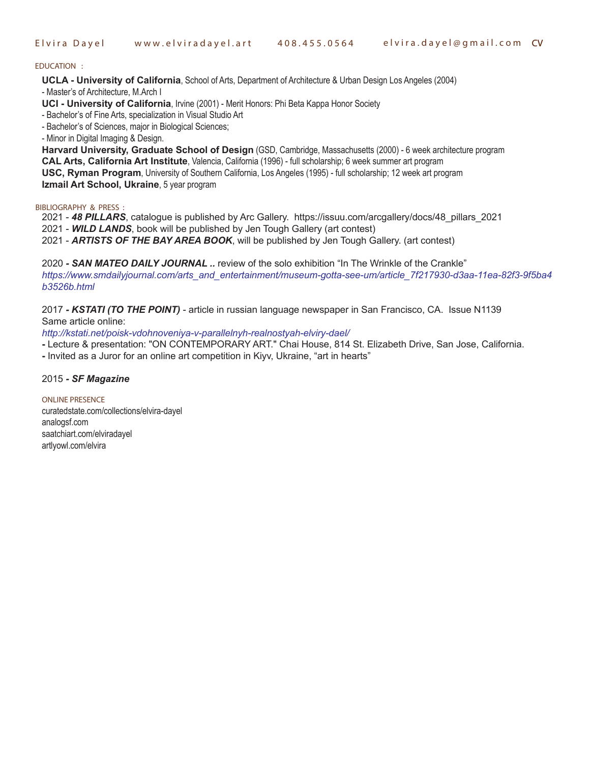**E l v i r a D a y e l w w w . e l v i r a d a y e l . a r t 4 0 8 . 4 5 5 . 0 5 6 4 e l v i r a . d a y e l @ g m a i l . c o m CV**

## **EDUCATION :**

**UCLA - University of California**, School of Arts, Department of Architecture & Urban Design Los Angeles (2004)

- Master's of Architecture, M.Arch I

**UCI - University of California**, Irvine (2001) - Merit Honors: Phi Beta Kappa Honor Society

- Bachelor's of Fine Arts, specialization in Visual Studio Art

- Bachelor's of Sciences, major in Biological Sciences;

- Minor in Digital Imaging & Design.

**Harvard University, Graduate School of Design** (GSD, Cambridge, Massachusetts (2000) - 6 week architecture program **CAL Arts, California Art Institute**, Valencia, California (1996) - full scholarship; 6 week summer art program **USC, Ryman Program**, University of Southern California, Los Angeles (1995) - full scholarship; 12 week art program **Izmail Art School, Ukraine**, 5 year program

**BIBLIOGRAPHY & PRESS :**

2021 - *48 PILLARS*, catalogue is published by Arc Gallery. https://issuu.com/arcgallery/docs/48\_pillars\_2021

2021 - *WILD LANDS*, book will be published by Jen Tough Gallery (art contest)

2021 - *ARTISTS OF THE BAY AREA BOOK*, will be published by Jen Tough Gallery. (art contest)

2020 *- SAN MATEO DAILY JOURNAL ..* review of the solo exhibition "In The Wrinkle of the Crankle" *https://www.smdailyjournal.com/arts\_and\_entertainment/museum-gotta-see-um/article\_7f217930-d3aa-11ea-82f3-9f5ba4 b3526b.html*

2017 *- KSTATI (TO THE POINT)* - article in russian language newspaper in San Francisco, CA. Issue N1139 Same article online:

*http://kstati.net/poisk-vdohnoveniya-v-parallelnyh-realnostyah-elviry-dael/*

**-** Lecture & presentation: "ON CONTEMPORARY ART." Chai House, 814 St. Elizabeth Drive, San Jose, California.

**-** Invited as a Juror for an online art competition in Kiyv, Ukraine, "art in hearts"

2015 *- SF Magazine* 

**ONLINE PRESENCE** curatedstate.com/collections/elvira-dayel analogsf.com saatchiart.com/elviradayel artlyowl.com/elvira